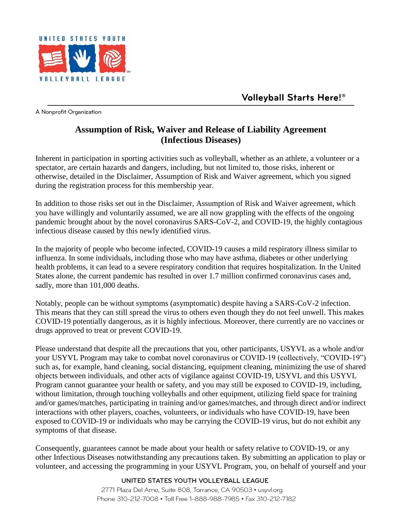

A Nonprofit Organization

## **Assumption of Risk, Waiver and Release of Liability Agreement (Infectious Diseases)**

Inherent in participation in sporting activities such as volleyball, whether as an athlete, a volunteer or a spectator, are certain hazards and dangers, including, but not limited to, those risks, inherent or otherwise, detailed in the Disclaimer, Assumption of Risk and Waiver agreement, which you signed during the registration process for this membership year.

In addition to those risks set out in the Disclaimer, Assumption of Risk and Waiver agreement, which you have willingly and voluntarily assumed, we are all now grappling with the effects of the ongoing pandemic brought about by the novel coronavirus SARS-CoV-2, and COVID-19, the highly contagious infectious disease caused by this newly identified virus.

In the majority of people who become infected, COVID-19 causes a mild respiratory illness similar to influenza. In some individuals, including those who may have asthma, diabetes or other underlying health problems, it can lead to a severe respiratory condition that requires hospitalization. In the United States alone, the current pandemic has resulted in over 1.7 million confirmed coronavirus cases and, sadly, more than 101,000 deaths.

Notably, people can be without symptoms (asymptomatic) despite having a SARS-CoV-2 infection. This means that they can still spread the virus to others even though they do not feel unwell. This makes COVID-19 potentially dangerous, as it is highly infectious. Moreover, there currently are no vaccines or drugs approved to treat or prevent COVID-19.

Please understand that despite all the precautions that you, other participants, USYVL as a whole and/or your USYVL Program may take to combat novel coronavirus or COVID-19 (collectively, "COVID-19") such as, for example, hand cleaning, social distancing, equipment cleaning, minimizing the use of shared objects between individuals, and other acts of vigilance against COVID-19, USYVL and this USYVL Program cannot guarantee your health or safety, and you may still be exposed to COVID-19, including, without limitation, through touching volleyballs and other equipment, utilizing field space for training and/or games/matches, participating in training and/or games/matches, and through direct and/or indirect interactions with other players, coaches, volunteers, or individuals who have COVID-19, have been exposed to COVID-19 or individuals who may be carrying the COVID-19 virus, but do not exhibit any symptoms of that disease.

Consequently, guarantees cannot be made about your health or safety relative to COVID-19, or any other Infectious Diseases notwithstanding any precautions taken. By submitting an application to play or volunteer, and accessing the programming in your USYVL Program, you, on behalf of yourself and your

## UNITED STATES YOUTH VOLLEYBALL LEAGUE

2771 Plaza Del Amo, Suite 808, Torrance, CA 90503 • usyvl.org Phone 310-212-7008 • Toll Free 1-888-988-7985 • Fax 310-212-7182